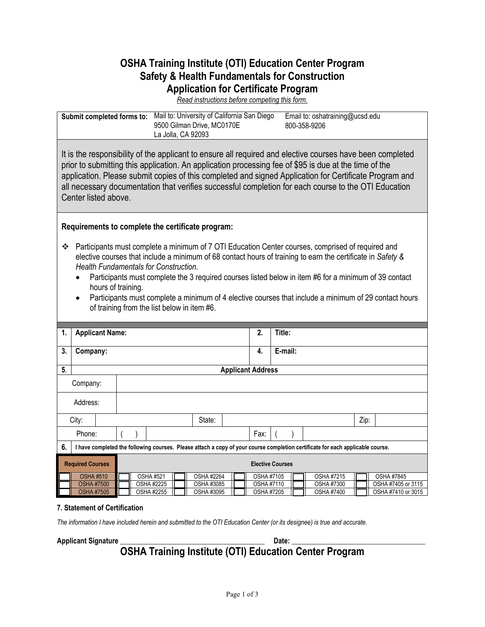# **OSHA Training Institute (OTI) Education Center Program Safety & Health Fundamentals for Construction Application for Certificate Program**

*Read instructions before competing this form.*

| Submit completed forms to: Mail to: University of California San Diego                                                                                                                                                                                                                                                                                                                                                                                                                                                                                                                                             |                         |  | 9500 Gilman Drive, MC0170E<br>La Jolla, CA 92093 |  |                          |                                                                           | Email to: oshatraining@ucsd.edu<br>800-358-9206                                                                                |      |                    |
|--------------------------------------------------------------------------------------------------------------------------------------------------------------------------------------------------------------------------------------------------------------------------------------------------------------------------------------------------------------------------------------------------------------------------------------------------------------------------------------------------------------------------------------------------------------------------------------------------------------------|-------------------------|--|--------------------------------------------------|--|--------------------------|---------------------------------------------------------------------------|--------------------------------------------------------------------------------------------------------------------------------|------|--------------------|
| It is the responsibility of the applicant to ensure all required and elective courses have been completed<br>prior to submitting this application. An application processing fee of \$95 is due at the time of the<br>application. Please submit copies of this completed and signed Application for Certificate Program and<br>all necessary documentation that verifies successful completion for each course to the OTI Education<br>Center listed above.                                                                                                                                                       |                         |  |                                                  |  |                          |                                                                           |                                                                                                                                |      |                    |
| Requirements to complete the certificate program:                                                                                                                                                                                                                                                                                                                                                                                                                                                                                                                                                                  |                         |  |                                                  |  |                          |                                                                           |                                                                                                                                |      |                    |
| Participants must complete a minimum of 7 OTI Education Center courses, comprised of required and<br>❖<br>elective courses that include a minimum of 68 contact hours of training to earn the certificate in Safety &<br>Health Fundamentals for Construction.<br>Participants must complete the 3 required courses listed below in item #6 for a minimum of 39 contact<br>hours of training.<br>Participants must complete a minimum of 4 elective courses that include a minimum of 29 contact hours<br>$\bullet$<br>of training from the list below in item #6.<br><b>Applicant Name:</b><br>Title:<br>2.<br>1. |                         |  |                                                  |  |                          |                                                                           |                                                                                                                                |      |                    |
| 3.<br>Company:                                                                                                                                                                                                                                                                                                                                                                                                                                                                                                                                                                                                     |                         |  |                                                  |  | 4.                       | E-mail:                                                                   |                                                                                                                                |      |                    |
| $\overline{5}$                                                                                                                                                                                                                                                                                                                                                                                                                                                                                                                                                                                                     |                         |  |                                                  |  | <b>Applicant Address</b> |                                                                           |                                                                                                                                |      |                    |
| Company:                                                                                                                                                                                                                                                                                                                                                                                                                                                                                                                                                                                                           |                         |  |                                                  |  |                          |                                                                           |                                                                                                                                |      |                    |
| Address:                                                                                                                                                                                                                                                                                                                                                                                                                                                                                                                                                                                                           |                         |  |                                                  |  |                          |                                                                           |                                                                                                                                |      |                    |
| City:                                                                                                                                                                                                                                                                                                                                                                                                                                                                                                                                                                                                              |                         |  | State:                                           |  |                          |                                                                           |                                                                                                                                | Zip: |                    |
| Phone:                                                                                                                                                                                                                                                                                                                                                                                                                                                                                                                                                                                                             |                         |  |                                                  |  | Fax:                     |                                                                           |                                                                                                                                |      |                    |
| 6.                                                                                                                                                                                                                                                                                                                                                                                                                                                                                                                                                                                                                 |                         |  |                                                  |  |                          |                                                                           | I have completed the following courses. Please attach a copy of your course completion certificate for each applicable course. |      |                    |
| <b>Required Courses</b>                                                                                                                                                                                                                                                                                                                                                                                                                                                                                                                                                                                            | <b>Elective Courses</b> |  |                                                  |  |                          |                                                                           |                                                                                                                                |      |                    |
| <b>OSHA #510</b>                                                                                                                                                                                                                                                                                                                                                                                                                                                                                                                                                                                                   | <b>OSHA #521</b>        |  | OSHA #2264                                       |  |                          | OSHA #7215<br>OSHA #7105                                                  |                                                                                                                                |      | <b>OSHA #7845</b>  |
| <b>OSHA #7500</b><br><b>OSHA #7505</b>                                                                                                                                                                                                                                                                                                                                                                                                                                                                                                                                                                             | <b>OSHA #2225</b>       |  | OSHA #3085<br>OSHA #3095                         |  |                          | <b>OSHA #7300</b><br>OSHA #7110<br><b>OSHA #7205</b><br><b>OSHA #7400</b> |                                                                                                                                |      | OSHA #7405 or 3115 |
|                                                                                                                                                                                                                                                                                                                                                                                                                                                                                                                                                                                                                    | <b>OSHA #2255</b>       |  |                                                  |  |                          |                                                                           |                                                                                                                                |      | OSHA #7410 or 3015 |

#### **7. Statement of Certification**

*The information I have included herein and submitted to the OTI Education Center (or its designee) is true and accurate.*

**Applicant Signature \_\_\_\_\_\_\_\_\_\_\_\_\_\_\_\_\_\_\_\_\_\_\_\_\_\_\_\_\_\_\_\_\_\_\_\_\_\_\_\_ Date: \_\_\_\_\_\_\_\_\_\_\_\_\_\_\_\_\_\_\_\_\_\_\_\_\_\_\_\_\_\_\_\_\_\_\_\_\_**

**OSHA Training Institute (OTI) Education Center Program**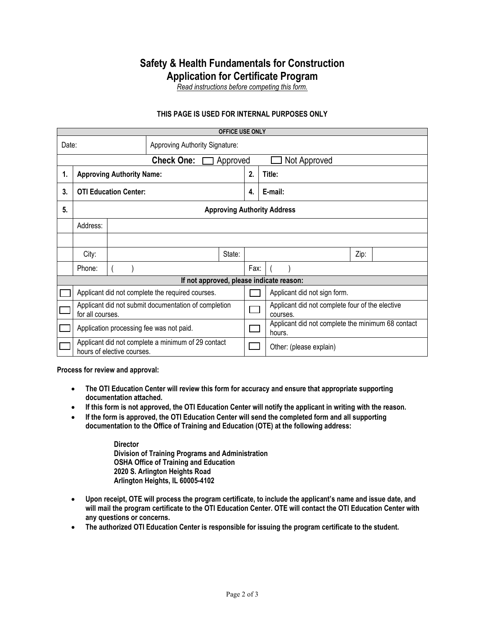### **Safety & Health Fundamentals for Construction Application for Certificate Program**

*Read instructions before competing this form.*

#### **THIS PAGE IS USED FOR INTERNAL PURPOSES ONLY**

| <b>OFFICE USE ONLY</b>                        |                                                                                  |  |  |        |        |                                                             |  |  |  |
|-----------------------------------------------|----------------------------------------------------------------------------------|--|--|--------|--------|-------------------------------------------------------------|--|--|--|
| Date:<br>Approving Authority Signature:       |                                                                                  |  |  |        |        |                                                             |  |  |  |
| <b>Check One:</b><br>Approved<br>Not Approved |                                                                                  |  |  |        |        |                                                             |  |  |  |
| <b>Approving Authority Name:</b><br>1.        |                                                                                  |  |  | 2.     | Title: |                                                             |  |  |  |
| 3.                                            | <b>OTI Education Center:</b>                                                     |  |  |        | 4.     | E-mail:                                                     |  |  |  |
| 5.                                            | <b>Approving Authority Address</b>                                               |  |  |        |        |                                                             |  |  |  |
|                                               | Address:                                                                         |  |  |        |        |                                                             |  |  |  |
|                                               |                                                                                  |  |  |        |        |                                                             |  |  |  |
|                                               | City:                                                                            |  |  | State: |        | Zip:                                                        |  |  |  |
|                                               | Phone:                                                                           |  |  |        | Fax:   |                                                             |  |  |  |
| If not approved, please indicate reason:      |                                                                                  |  |  |        |        |                                                             |  |  |  |
|                                               | Applicant did not complete the required courses.                                 |  |  |        |        | Applicant did not sign form.                                |  |  |  |
|                                               | Applicant did not submit documentation of completion<br>for all courses.         |  |  |        |        | Applicant did not complete four of the elective<br>courses. |  |  |  |
|                                               | Application processing fee was not paid.                                         |  |  |        |        | Applicant did not complete the minimum 68 contact<br>hours. |  |  |  |
|                                               | Applicant did not complete a minimum of 29 contact<br>hours of elective courses. |  |  |        |        | Other: (please explain)                                     |  |  |  |

**Process for review and approval:**

- **The OTI Education Center will review this form for accuracy and ensure that appropriate supporting documentation attached.**
- **If this form is not approved, the OTI Education Center will notify the applicant in writing with the reason.**
- **If the form is approved, the OTI Education Center will send the completed form and all supporting documentation to the Office of Training and Education (OTE) at the following address:**

**Director Division of Training Programs and Administration OSHA Office of Training and Education 2020 S. Arlington Heights Road Arlington Heights, IL 60005-4102**

- **Upon receipt, OTE will process the program certificate, to include the applicant's name and issue date, and will mail the program certificate to the OTI Education Center. OTE will contact the OTI Education Center with any questions or concerns.**
- **The authorized OTI Education Center is responsible for issuing the program certificate to the student.**